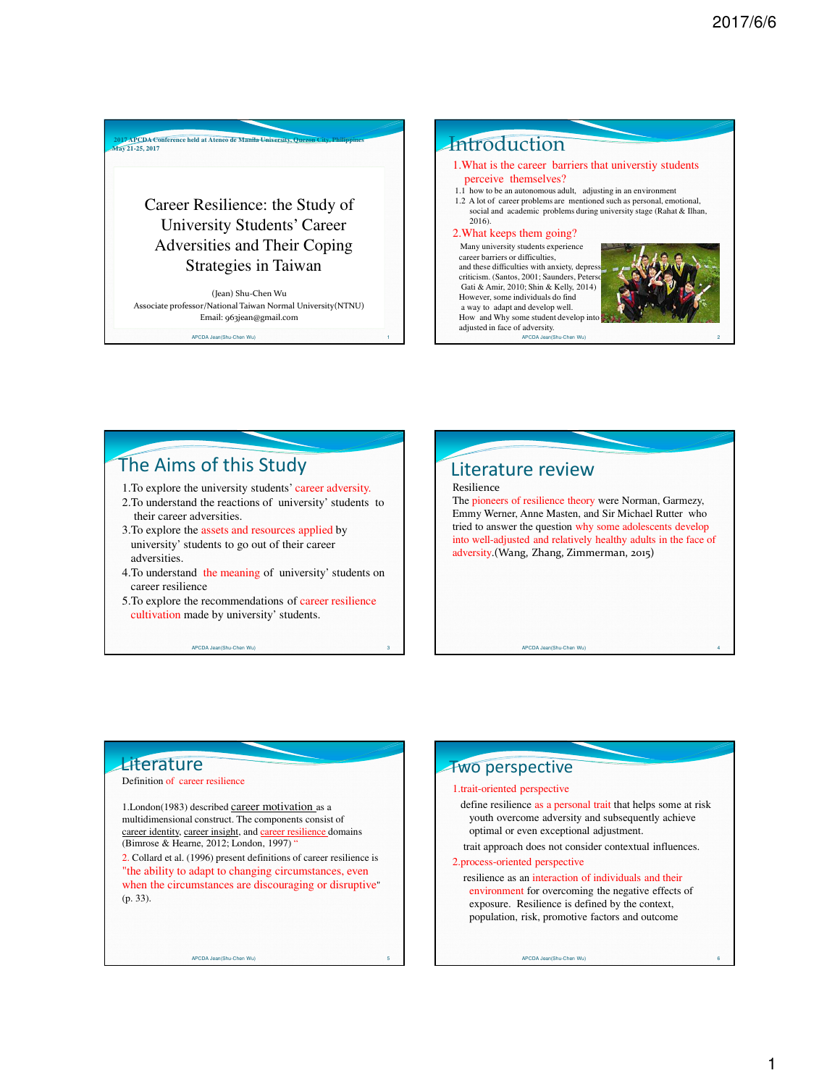Career Resilience: the Study of University Students' Career Adversities and Their Coping Strategies in Taiwan

**2017 APCDA Conference held at Ateneo de Manila University, Quezon City, Philippines May 21-25, 2017**

(Jean) Shu-Chen Wu Associate professor/National Taiwan Normal University(NTNU) Email: 963jean@gmail.com

APCDA Jean(Shu-Chen Wu) 1

### **Introduction**

#### 1.What is the career barriers that universtiy students perceive themselves?

1.1 how to be an autonomous adult, adjusting in an environment 1.2 A lot of career problems are mentioned such as personal, emotional, social and academic problems during university stage (Rahat & Ilhan, 2016).

#### 2.What keeps them going?

Many university students experience career barriers or difficulties, and these difficulties with anxiety, depre criticism. (Santos, 2001; Saunders, Peters Gati & Amir, 2010; Shin & Kelly, 2014) However, some individuals do find a way to adapt and develop well. How and Why some student develop adjusted in face of adversity.



APCDA Jean(Shu-Chen Wu) 2

## The Aims of this Study

- 1.To explore the university students' career adversity.
- 2.To understand the reactions of university' students to their career adversities.
- 3.To explore the assets and resources applied by university' students to go out of their career adversities.

APCDA Jean(Shu-Chen Wu) 3

- 4.To understand the meaning of university' students on career resilience
- 5.To explore the recommendations of career resilience cultivation made by university' students.

# Literature review

Resilience

The pioneers of resilience theory were Norman, Garmezy, Emmy Werner, Anne Masten, and Sir Michael Rutter who tried to answer the question why some adolescents develop into well-adjusted and relatively healthy adults in the face of adversity.(Wang, Zhang, Zimmerman, 2015)

APCDA Jean(Shu-Chen Wu)

### **Literature**

#### Definition of career resilience

1.London(1983) described career motivation as a multidimensional construct. The components consist of career identity, career insight, and career resilience domains (Bimrose & Hearne, 2012; London, 1997) "

2. Collard et al. (1996) present definitions of career resilience is "the ability to adapt to changing circumstances, even when the circumstances are discouraging or disruptive" (p. 33).

APCDA Jean(Shu-Chen Wu)

### Two perspective

#### 1.trait-oriented perspective

define resilience as a personal trait that helps some at risk youth overcome adversity and subsequently achieve optimal or even exceptional adjustment.

trait approach does not consider contextual influences.

2.process-oriented perspective

resilience as an interaction of individuals and their environment for overcoming the negative effects of exposure. Resilience is defined by the context, population, risk, promotive factors and outcome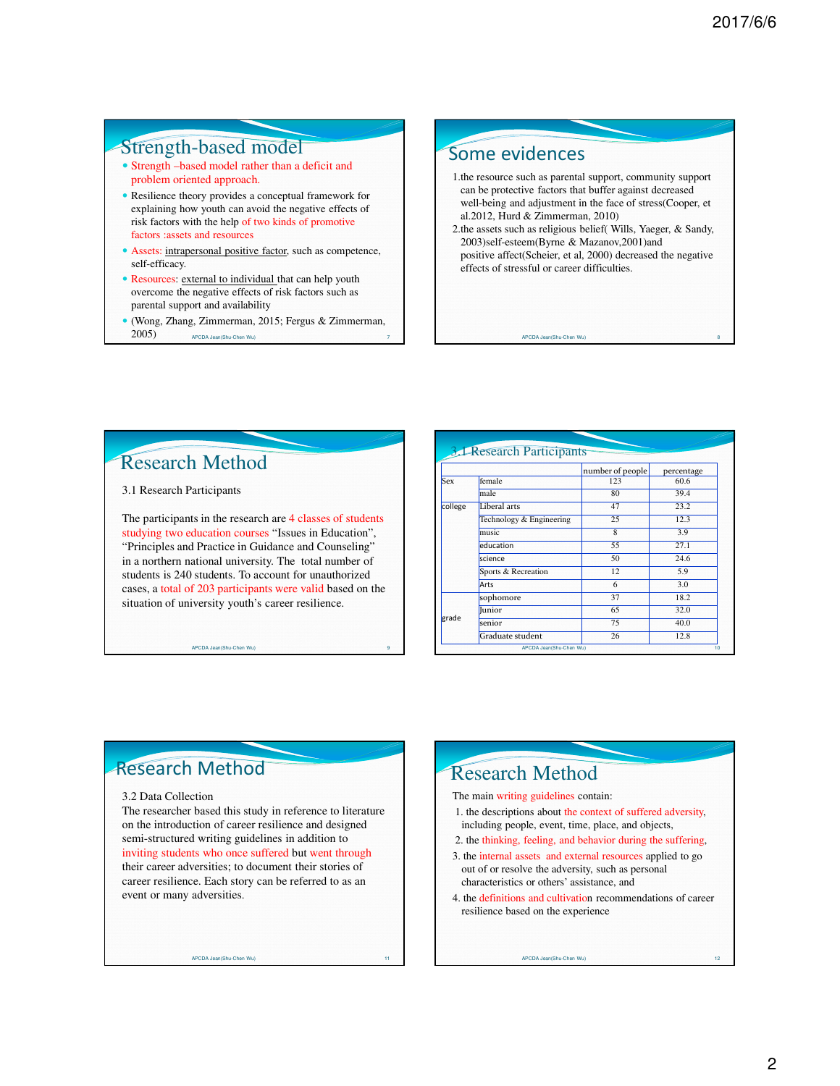### Strength-based model

- Strength –based model rather than a deficit and problem oriented approach.
- Resilience theory provides a conceptual framework for explaining how youth can avoid the negative effects of risk factors with the help of two kinds of promotive factors :assets and resources
- Assets: intrapersonal positive factor, such as competence, self-efficacy.
- Resources: external to individual that can help youth overcome the negative effects of risk factors such as parental support and availability
- (Wong, Zhang, Zimmerman, 2015; Fergus & Zimmerman, 2005) 2005) APCDA Jean(Shu-Chen Wu) <sup>7</sup>

## Some evidences

- 1.the resource such as parental support, community support can be protective factors that buffer against decreased well-being and adjustment in the face of stress(Cooper, et al.2012, Hurd & Zimmerman, 2010)
- 2.the assets such as religious belief( Wills, Yaeger, & Sandy, 2003)self-esteem(Byrne & Mazanov,2001)and positive affect(Scheier, et al, 2000) decreased the negative effects of stressful or career difficulties.

APCDA Jean(Shu-Chen Wu)

# Research Method

### 3.1 Research Participants

The participants in the research are 4 classes of students studying two education courses "Issues in Education", "Principles and Practice in Guidance and Counseling" in a northern national university. The total number of students is 240 students. To account for unauthorized cases, a total of 203 participants were valid based on the situation of university youth's career resilience.

APCDA Jean(Shu-Chen Wu) 9

#### **3.1 Research Participants**

|            |                          | number of people                                                                                        | percentage |
|------------|--------------------------|---------------------------------------------------------------------------------------------------------|------------|
| <b>Sex</b> | female                   | 123                                                                                                     | 60.6       |
|            | male                     | 80<br>39.4<br>23.2<br>47<br>12.3<br>25<br>8<br>3.9<br>55<br>27.1<br>50<br>24.6<br>5.9<br>12<br>3.0<br>6 |            |
| college    | Liberal arts             |                                                                                                         |            |
|            | Technology & Engineering |                                                                                                         |            |
|            | music                    |                                                                                                         |            |
|            | education                |                                                                                                         |            |
|            | science                  |                                                                                                         |            |
|            | Sports & Recreation      |                                                                                                         |            |
|            | Arts                     |                                                                                                         |            |
| grade      | sophomore                | 37                                                                                                      | 18.2       |
|            | <b>Iunior</b>            | 65                                                                                                      | 32.0       |
|            | senior                   | 75                                                                                                      | 40.0       |
|            | Graduate student         | 26                                                                                                      | 12.8       |

## Research Method

#### 3.2 Data Collection

The researcher based this study in reference to literature on the introduction of career resilience and designed semi-structured writing guidelines in addition to inviting students who once suffered but went through their career adversities; to document their stories of career resilience. Each story can be referred to as an event or many adversities.

APCDA Jean(Shu-Chen Wu)

## Research Method

#### The main writing guidelines contain:

- 1. the descriptions about the context of suffered adversity, including people, event, time, place, and objects,
- 2. the thinking, feeling, and behavior during the suffering,
- 3. the internal assets and external resources applied to go out of or resolve the adversity, such as personal characteristics or others' assistance, and

APCDA Jean(Shu-Chen Wu)

4. the definitions and cultivation recommendations of career resilience based on the experience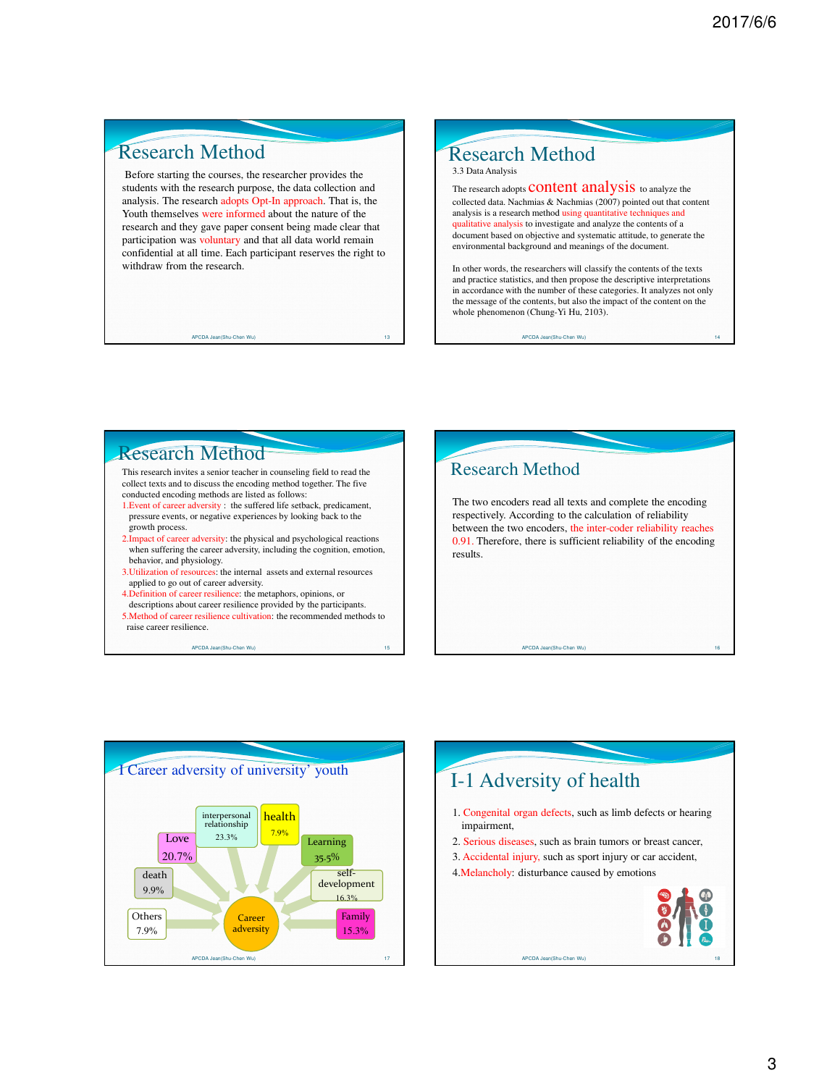## Research Method

Before starting the courses, the researcher provides the students with the research purpose, the data collection and analysis. The research adopts Opt-In approach. That is, the Youth themselves were informed about the nature of the research and they gave paper consent being made clear that participation was voluntary and that all data world remain confidential at all time. Each participant reserves the right to withdraw from the research.

### Research Method 3.3 Data Analysis

The research adopts **CONTENT** analysis to analyze the collected data. Nachmias & Nachmias (2007) pointed out that content analysis is a research method using quantitative techniques and qualitative analysis to investigate and analyze the contents of a document based on objective and systematic attitude, to generate the environmental background and meanings of the document.

In other words, the researchers will classify the contents of the texts and practice statistics, and then propose the descriptive interpretations in accordance with the number of these categories. It analyzes not only the message of the contents, but also the impact of the content on the whole phenomenon (Chung-Yi Hu, 2103).

APCDA Jean(Shu-Chen Wu)

# Research Method

APCDA Jean(Shu-Chen Wu) 13

This research invites a senior teacher in counseling field to read the collect texts and to discuss the encoding method together. The five conducted encoding methods are listed as follows:

- 1.Event of career adversity : the suffered life setback, predicament, pressure events, or negative experiences by looking back to the growth process.
- 2.Impact of career adversity: the physical and psychological reactions when suffering the career adversity, including the cognition, emotion, behavior, and physiology.
- 3.Utilization of resources: the internal assets and external resources applied to go out of career adversity.
- 4.Definition of career resilience: the metaphors, opinions, or descriptions about career resilience provided by the participants.
- 5.Method of career resilience cultivation: the recommended methods to raise career resilience.





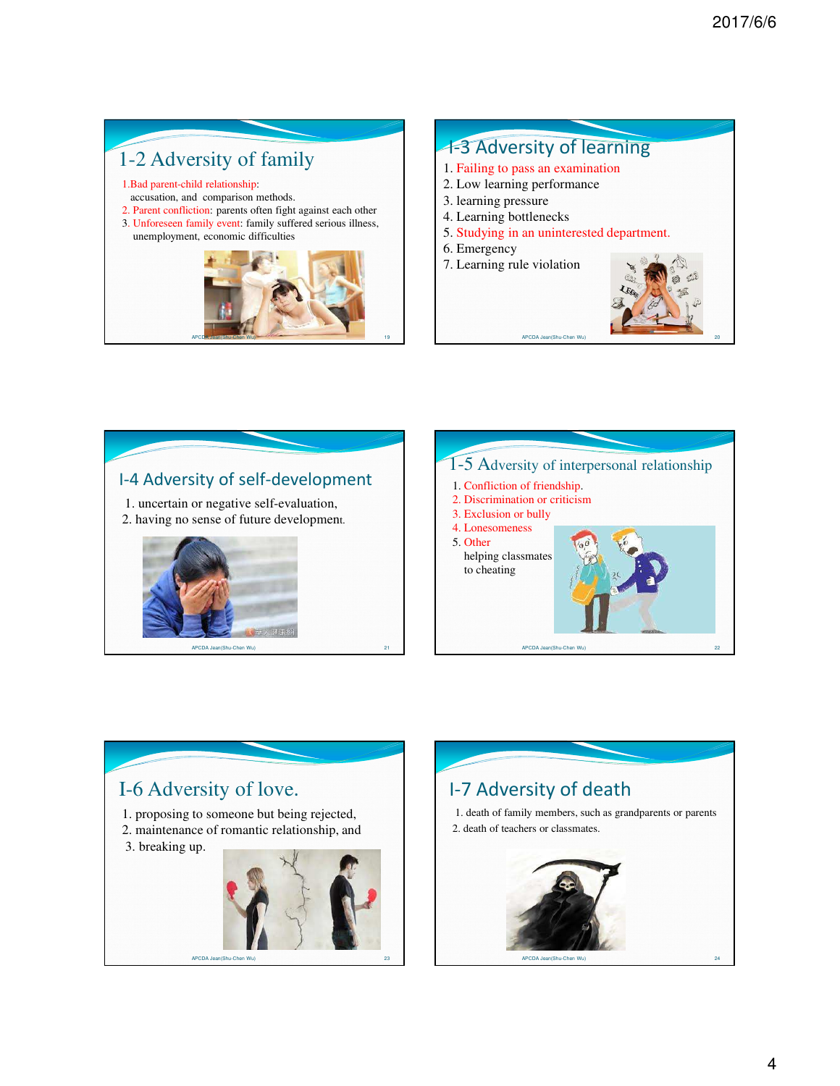# 1-2 Adversity of family

- 1.Bad parent-child relationship:
- accusation, and comparison methods.
- 2. Parent confliction: parents often fight against each other
- 3. Unforeseen family event: family suffered serious illness, unemployment, economic difficulties



## 1-3 Adversity of learning 1. Failing to pass an examination 2. Low learning performance 3. learning pressure 4. Learning bottlenecks 5. Studying in an uninterested department. 6. Emergency 7. Learning rule violation



# I-4 Adversity of self-development

1. uncertain or negative self-evaluation, 2. having no sense of future development.





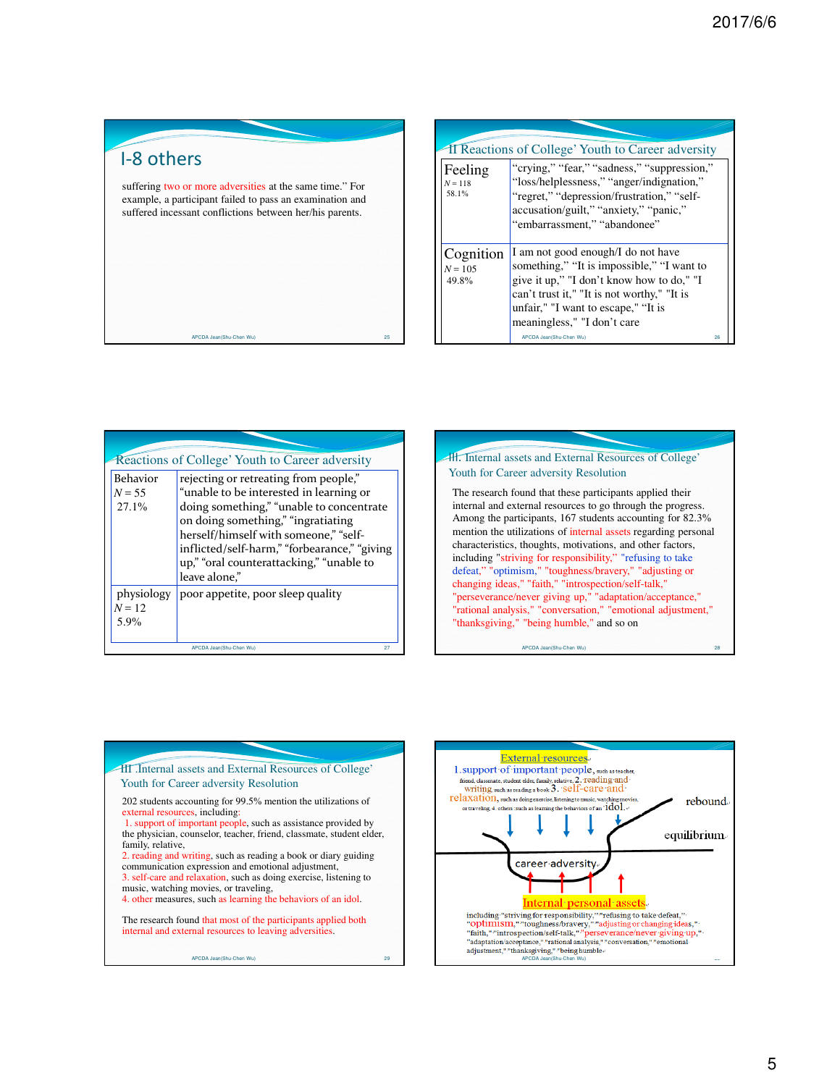I-8 others

suffering two or more adversities at the same time." For example, a participant failed to pass an examination and suffered incessant conflictions between her/his parents.

|                                 | <b>The Theorem 3 Theorem 3 Theorem 2 Theorem 2 Theorem 3 Theorem 3 Theorem 3 Theorem 3 Theorem 3 Theorem 3 Theorem 3 Theorem 3 Theorem 3 Theorem 3 Theorem 3 Theorem 3 Theorem 3 Theorem 3 Theorem 3 Theorem 3 Theorem 3 Theorem</b>               |    |  |  |  |  |  |
|---------------------------------|----------------------------------------------------------------------------------------------------------------------------------------------------------------------------------------------------------------------------------------------------|----|--|--|--|--|--|
| Feeling<br>$N = 118$<br>58.1%   | "crying," "fear," "sadness," "suppression,"<br>"loss/helplessness," "anger/indignation,"<br>"regret," "depression/frustration," "self-<br>accusation/guilt," "anxiety," "panic,"<br>"embarrassment." "abandonee"                                   |    |  |  |  |  |  |
| Cognition<br>$N = 105$<br>49.8% | I am not good enough/I do not have<br>something," "It is impossible," "I want to<br>give it up," "I don't know how to do," "I<br>can't trust it," "It is not worthy," "It is<br>unfair," "I want to escape," "It is<br>meaningless," "I don't care |    |  |  |  |  |  |
|                                 | APCDA Jean(Shu-Chen Wu)                                                                                                                                                                                                                            | 26 |  |  |  |  |  |

| Reactions of College' Youth to Career adversity<br>rejecting or retreating from people,"<br>"unable to be interested in learning or<br>doing something," "unable to concentrate<br>on doing something," "ingratiating<br>herself/himself with someone," "self-<br>inflicted/self-harm," "forbearance," "giving<br>up," "oral counterattacking," "unable to<br>leave alone." |
|-----------------------------------------------------------------------------------------------------------------------------------------------------------------------------------------------------------------------------------------------------------------------------------------------------------------------------------------------------------------------------|
| poor appetite, poor sleep quality<br>27<br>APCDA Jean(Shu-Chen Wu)                                                                                                                                                                                                                                                                                                          |
|                                                                                                                                                                                                                                                                                                                                                                             |





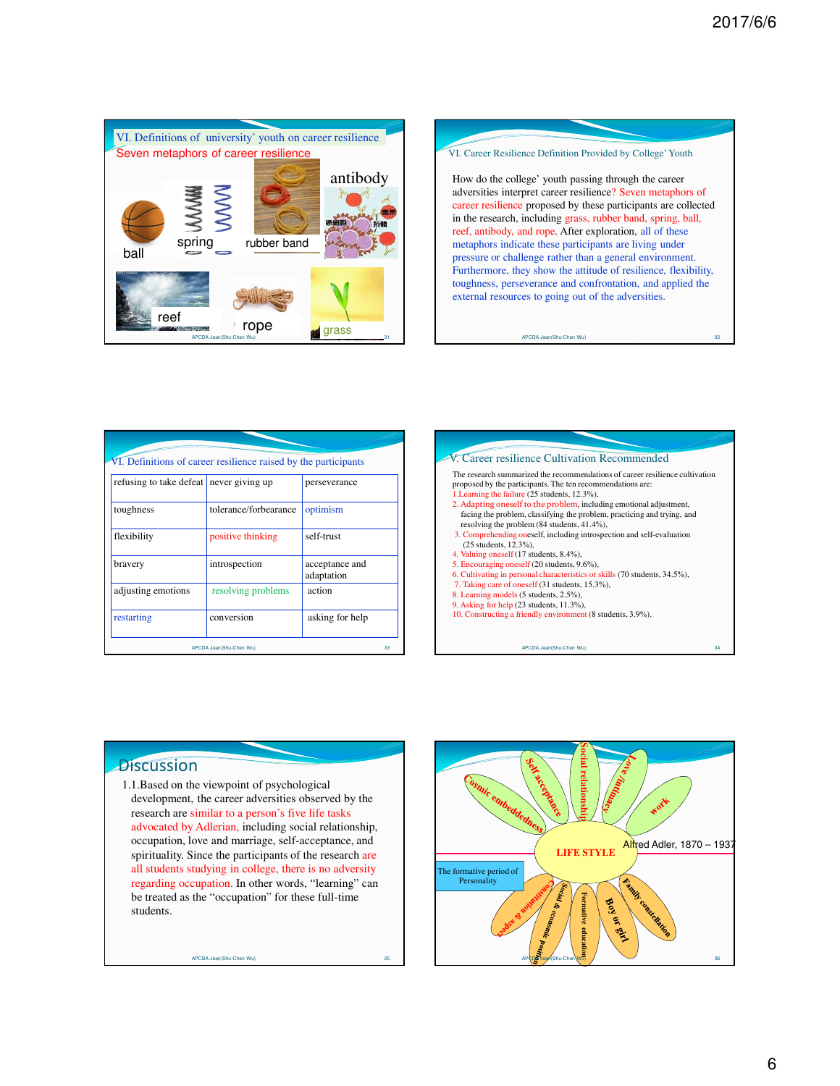



| VI. Definitions of career resilience raised by the participants |                       |                              |  |  |  |  |
|-----------------------------------------------------------------|-----------------------|------------------------------|--|--|--|--|
| refusing to take defeat never giving up                         |                       | perseverance                 |  |  |  |  |
| toughness                                                       | tolerance/forbearance | optimism                     |  |  |  |  |
| flexibility                                                     | positive thinking     | self-trust                   |  |  |  |  |
| bravery                                                         | introspection         | acceptance and<br>adaptation |  |  |  |  |
| adjusting emotions                                              | resolving problems    | action                       |  |  |  |  |
| restarting                                                      | conversion            | asking for help              |  |  |  |  |
| APCDA Jean(Shu-Chen Wu)                                         |                       |                              |  |  |  |  |



### **Discussion**

1.1.Based on the viewpoint of psychological development, the career adversities observed by the research are similar to a person's five life tasks advocated by Adlerian, including social relationship, occupation, love and marriage, self-acceptance, and spirituality. Since the participants of the research are all students studying in college, there is no adversity regarding occupation. In other words, "learning" can be treated as the "occupation" for these full-time students.